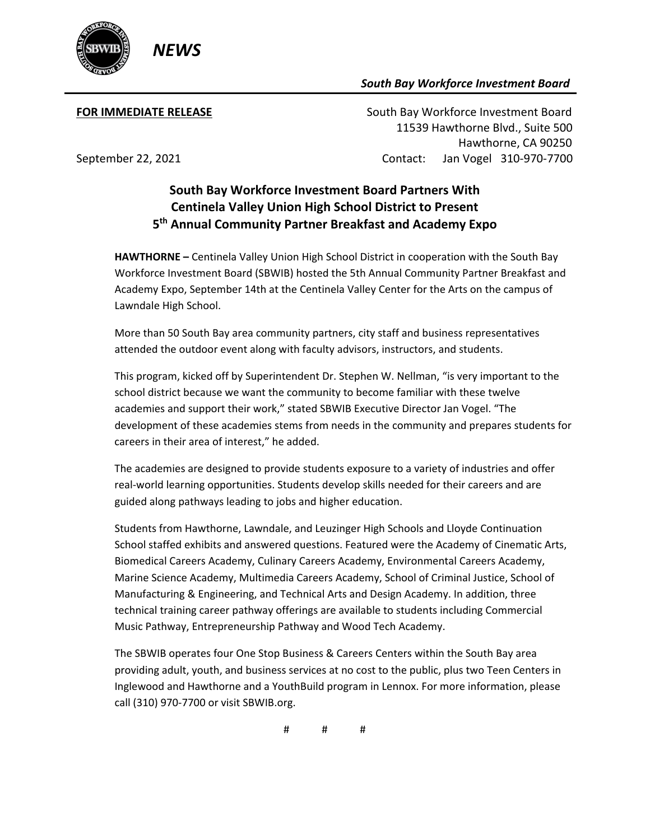

## *South Bay Workforce Investment Board*

**FOR IMMEDIATE RELEASE South Bay Workforce Investment Board**  11539 Hawthorne Blvd., Suite 500 Hawthorne, CA 90250 September 22, 2021 Contact: Jan Vogel 310-970-7700

## **South Bay Workforce Investment Board Partners With Centinela Valley Union High School District to Present 5th Annual Community Partner Breakfast and Academy Expo**

**HAWTHORNE –** Centinela Valley Union High School District in cooperation with the South Bay Workforce Investment Board (SBWIB) hosted the 5th Annual Community Partner Breakfast and Academy Expo, September 14th at the Centinela Valley Center for the Arts on the campus of Lawndale High School.

More than 50 South Bay area community partners, city staff and business representatives attended the outdoor event along with faculty advisors, instructors, and students.

This program, kicked off by Superintendent Dr. Stephen W. Nellman, "is very important to the school district because we want the community to become familiar with these twelve academies and support their work," stated SBWIB Executive Director Jan Vogel. "The development of these academies stems from needs in the community and prepares students for careers in their area of interest," he added.

The academies are designed to provide students exposure to a variety of industries and offer real-world learning opportunities. Students develop skills needed for their careers and are guided along pathways leading to jobs and higher education.

Students from Hawthorne, Lawndale, and Leuzinger High Schools and Lloyde Continuation School staffed exhibits and answered questions. Featured were the Academy of Cinematic Arts, Biomedical Careers Academy, Culinary Careers Academy, Environmental Careers Academy, Marine Science Academy, Multimedia Careers Academy, School of Criminal Justice, School of Manufacturing & Engineering, and Technical Arts and Design Academy. In addition, three technical training career pathway offerings are available to students including Commercial Music Pathway, Entrepreneurship Pathway and Wood Tech Academy.

The SBWIB operates four One Stop Business & Careers Centers within the South Bay area providing adult, youth, and business services at no cost to the public, plus two Teen Centers in Inglewood and Hawthorne and a YouthBuild program in Lennox. For more information, please call (310) 970-7700 or visit SBWIB.org.

# # #